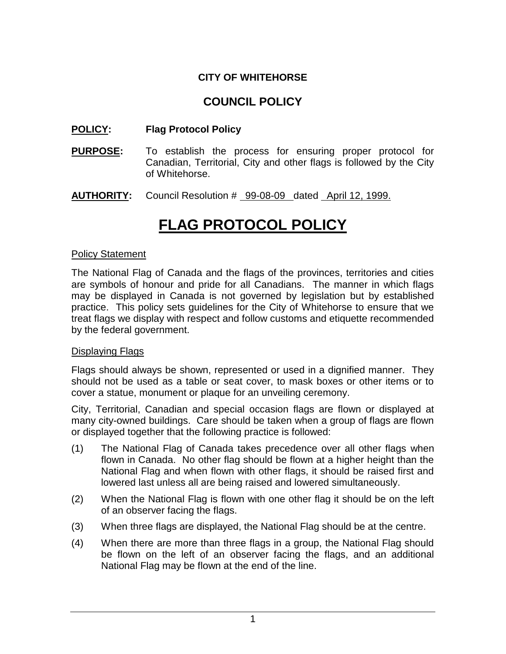# **CITY OF WHITEHORSE**

# **COUNCIL POLICY**

## **POLICY: Flag Protocol Policy**

- **PURPOSE:** To establish the process for ensuring proper protocol for Canadian, Territorial, City and other flags is followed by the City of Whitehorse.
- **AUTHORITY:** Council Resolution # 99-08-09 dated April 12, 1999.

# **FLAG PROTOCOL POLICY**

#### Policy Statement

The National Flag of Canada and the flags of the provinces, territories and cities are symbols of honour and pride for all Canadians. The manner in which flags may be displayed in Canada is not governed by legislation but by established practice. This policy sets guidelines for the City of Whitehorse to ensure that we treat flags we display with respect and follow customs and etiquette recommended by the federal government.

#### Displaying Flags

Flags should always be shown, represented or used in a dignified manner. They should not be used as a table or seat cover, to mask boxes or other items or to cover a statue, monument or plaque for an unveiling ceremony.

City, Territorial, Canadian and special occasion flags are flown or displayed at many city-owned buildings. Care should be taken when a group of flags are flown or displayed together that the following practice is followed:

- (1) The National Flag of Canada takes precedence over all other flags when flown in Canada. No other flag should be flown at a higher height than the National Flag and when flown with other flags, it should be raised first and lowered last unless all are being raised and lowered simultaneously.
- (2) When the National Flag is flown with one other flag it should be on the left of an observer facing the flags.
- (3) When three flags are displayed, the National Flag should be at the centre.
- (4) When there are more than three flags in a group, the National Flag should be flown on the left of an observer facing the flags, and an additional National Flag may be flown at the end of the line.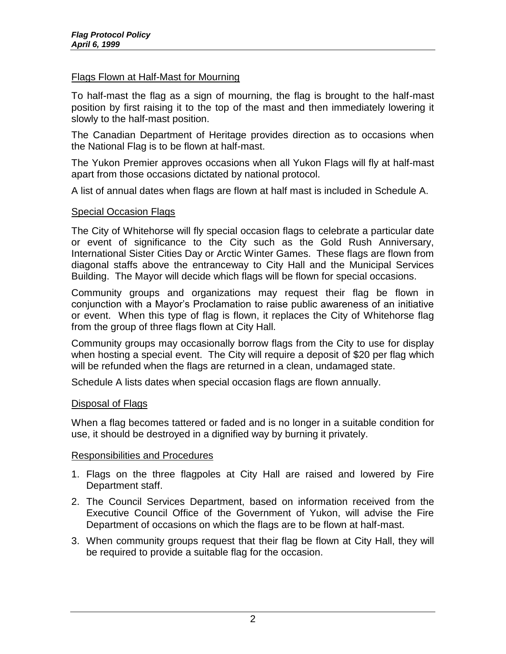#### Flags Flown at Half-Mast for Mourning

To half-mast the flag as a sign of mourning, the flag is brought to the half-mast position by first raising it to the top of the mast and then immediately lowering it slowly to the half-mast position.

The Canadian Department of Heritage provides direction as to occasions when the National Flag is to be flown at half-mast.

The Yukon Premier approves occasions when all Yukon Flags will fly at half-mast apart from those occasions dictated by national protocol.

A list of annual dates when flags are flown at half mast is included in Schedule A.

#### Special Occasion Flags

The City of Whitehorse will fly special occasion flags to celebrate a particular date or event of significance to the City such as the Gold Rush Anniversary, International Sister Cities Day or Arctic Winter Games. These flags are flown from diagonal staffs above the entranceway to City Hall and the Municipal Services Building. The Mayor will decide which flags will be flown for special occasions.

Community groups and organizations may request their flag be flown in conjunction with a Mayor's Proclamation to raise public awareness of an initiative or event. When this type of flag is flown, it replaces the City of Whitehorse flag from the group of three flags flown at City Hall.

Community groups may occasionally borrow flags from the City to use for display when hosting a special event. The City will require a deposit of \$20 per flag which will be refunded when the flags are returned in a clean, undamaged state.

Schedule A lists dates when special occasion flags are flown annually.

#### Disposal of Flags

When a flag becomes tattered or faded and is no longer in a suitable condition for use, it should be destroyed in a dignified way by burning it privately.

#### Responsibilities and Procedures

- 1. Flags on the three flagpoles at City Hall are raised and lowered by Fire Department staff.
- 2. The Council Services Department, based on information received from the Executive Council Office of the Government of Yukon, will advise the Fire Department of occasions on which the flags are to be flown at half-mast.
- 3. When community groups request that their flag be flown at City Hall, they will be required to provide a suitable flag for the occasion.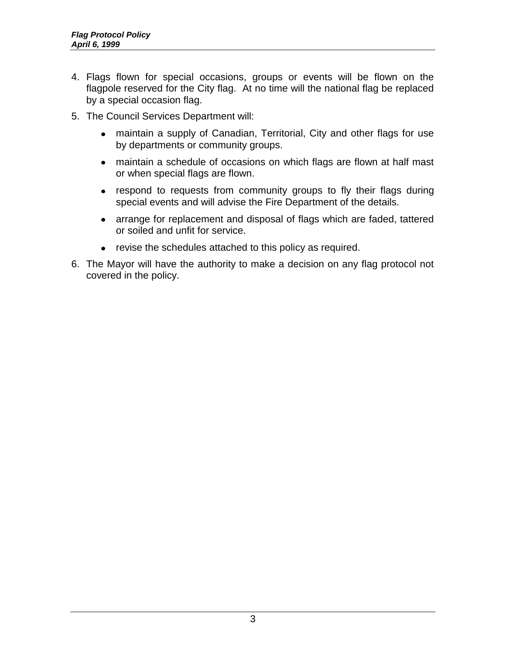- 4. Flags flown for special occasions, groups or events will be flown on the flagpole reserved for the City flag. At no time will the national flag be replaced by a special occasion flag.
- 5. The Council Services Department will:
	- maintain a supply of Canadian, Territorial, City and other flags for use by departments or community groups.
	- maintain a schedule of occasions on which flags are flown at half mast or when special flags are flown.
	- respond to requests from community groups to fly their flags during special events and will advise the Fire Department of the details.
	- arrange for replacement and disposal of flags which are faded, tattered or soiled and unfit for service.
	- revise the schedules attached to this policy as required.
- 6. The Mayor will have the authority to make a decision on any flag protocol not covered in the policy.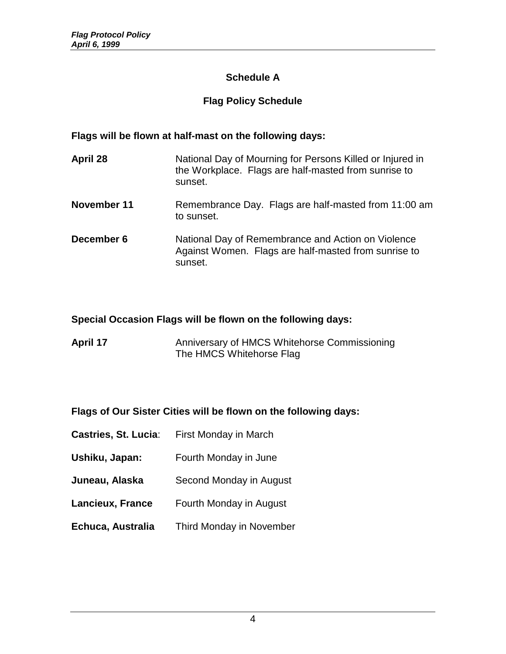# **Schedule A**

# **Flag Policy Schedule**

### **Flags will be flown at half-mast on the following days:**

| April 28    | National Day of Mourning for Persons Killed or Injured in<br>the Workplace. Flags are half-masted from sunrise to<br>sunset. |
|-------------|------------------------------------------------------------------------------------------------------------------------------|
| November 11 | Remembrance Day. Flags are half-masted from 11:00 am<br>to sunset.                                                           |
| December 6  | National Day of Remembrance and Action on Violence<br>Against Women. Flags are half-masted from sunrise to<br>sunset.        |

## **Special Occasion Flags will be flown on the following days:**

| <b>April 17</b> | Anniversary of HMCS Whitehorse Commissioning |
|-----------------|----------------------------------------------|
|                 | The HMCS Whitehorse Flag                     |

#### **Flags of Our Sister Cities will be flown on the following days:**

**Castries, St. Lucia:** First Monday in March **Ushiku, Japan:** Fourth Monday in June **Juneau, Alaska** Second Monday in August **Lancieux, France** Fourth Monday in August **Echuca, Australia** Third Monday in November